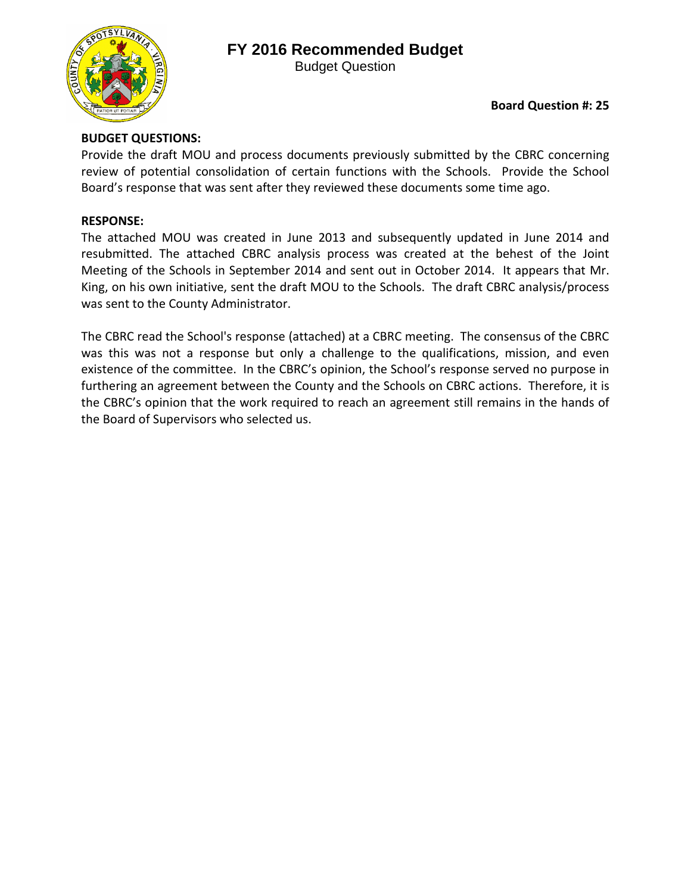## **FY 2016 Recommended Budget**



Budget Question

## **BUDGET QUESTIONS:**

Provide the draft MOU and process documents previously submitted by the CBRC concerning review of potential consolidation of certain functions with the Schools. Provide the School Board's response that was sent after they reviewed these documents some time ago.

## **RESPONSE:**

The attached MOU was created in June 2013 and subsequently updated in June 2014 and resubmitted. The attached CBRC analysis process was created at the behest of the Joint Meeting of the Schools in September 2014 and sent out in October 2014. It appears that Mr. King, on his own initiative, sent the draft MOU to the Schools. The draft CBRC analysis/process was sent to the County Administrator.

The CBRC read the School's response (attached) at a CBRC meeting. The consensus of the CBRC was this was not a response but only a challenge to the qualifications, mission, and even existence of the committee. In the CBRC's opinion, the School's response served no purpose in furthering an agreement between the County and the Schools on CBRC actions. Therefore, it is the CBRC's opinion that the work required to reach an agreement still remains in the hands of the Board of Supervisors who selected us.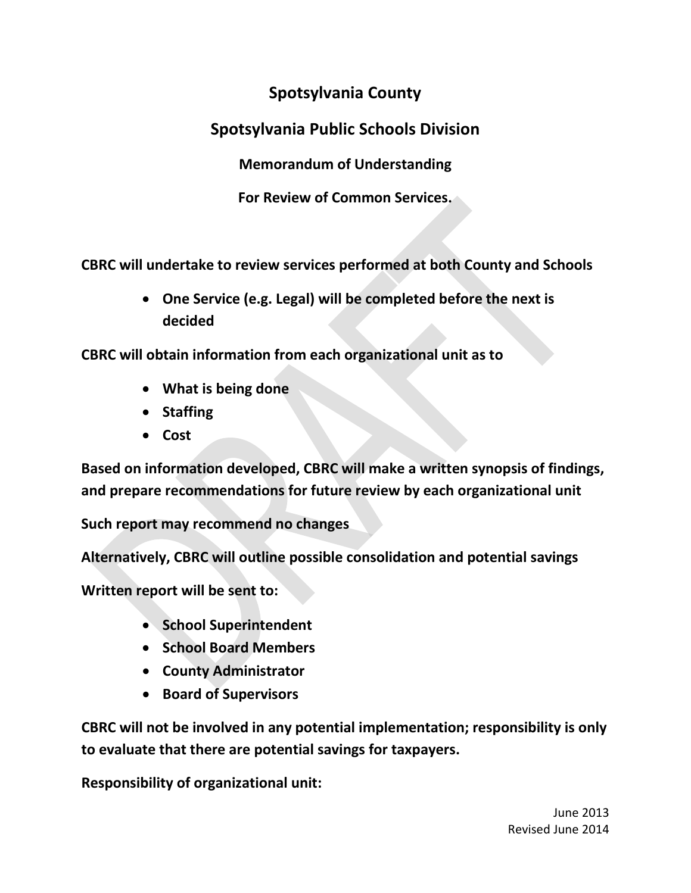# **Spotsylvania County**

# **Spotsylvania Public Schools Division**

**Memorandum of Understanding**

**For Review of Common Services.**

**CBRC will undertake to review services performed at both County and Schools**

• **One Service (e.g. Legal) will be completed before the next is decided**

**CBRC will obtain information from each organizational unit as to**

- **What is being done**
- **Staffing**
- **Cost**

**Based on information developed, CBRC will make a written synopsis of findings, and prepare recommendations for future review by each organizational unit**

**Such report may recommend no changes**

**Alternatively, CBRC will outline possible consolidation and potential savings**

**Written report will be sent to:**

- **School Superintendent**
- **School Board Members**
- **County Administrator**
- **Board of Supervisors**

**CBRC will not be involved in any potential implementation; responsibility is only to evaluate that there are potential savings for taxpayers.**

**Responsibility of organizational unit:**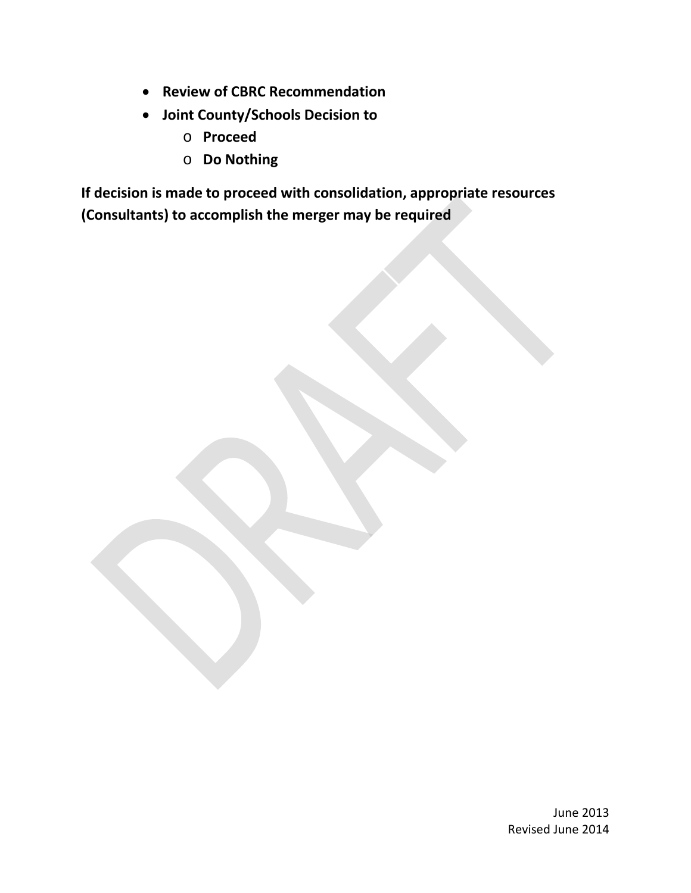- **Review of CBRC Recommendation**
- **Joint County/Schools Decision to** 
	- o **Proceed**
	- o **Do Nothing**

**If decision is made to proceed with consolidation, appropriate resources (Consultants) to accomplish the merger may be required**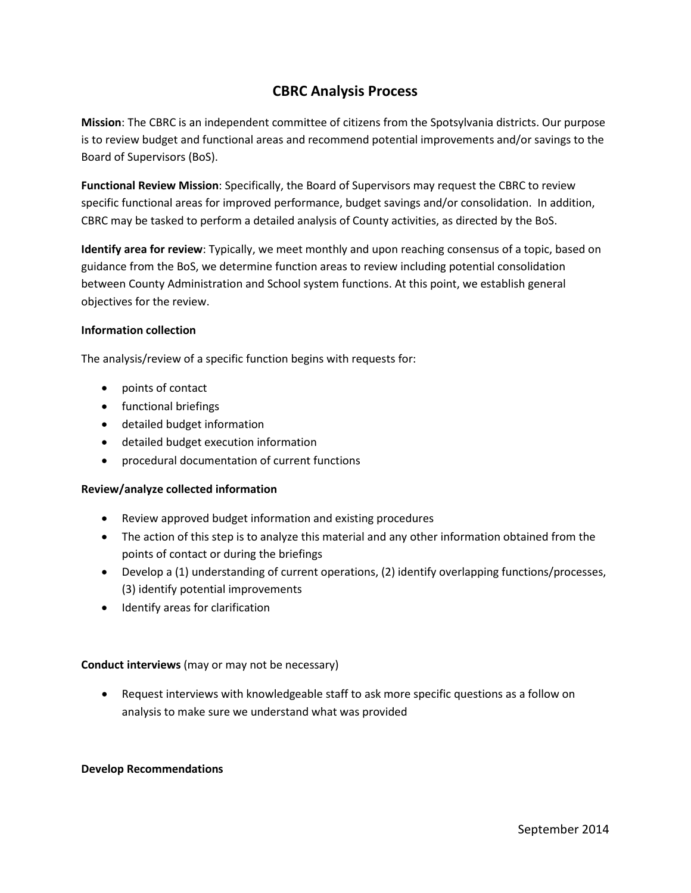## **CBRC Analysis Process**

**Mission**: The CBRC is an independent committee of citizens from the Spotsylvania districts. Our purpose is to review budget and functional areas and recommend potential improvements and/or savings to the Board of Supervisors (BoS).

**Functional Review Mission**: Specifically, the Board of Supervisors may request the CBRC to review specific functional areas for improved performance, budget savings and/or consolidation. In addition, CBRC may be tasked to perform a detailed analysis of County activities, as directed by the BoS.

**Identify area for review**: Typically, we meet monthly and upon reaching consensus of a topic, based on guidance from the BoS, we determine function areas to review including potential consolidation between County Administration and School system functions. At this point, we establish general objectives for the review.

#### **Information collection**

The analysis/review of a specific function begins with requests for:

- points of contact
- functional briefings
- detailed budget information
- detailed budget execution information
- procedural documentation of current functions

#### **Review/analyze collected information**

- Review approved budget information and existing procedures
- The action of this step is to analyze this material and any other information obtained from the points of contact or during the briefings
- Develop a (1) understanding of current operations, (2) identify overlapping functions/processes, (3) identify potential improvements
- Identify areas for clarification

### **Conduct interviews** (may or may not be necessary)

• Request interviews with knowledgeable staff to ask more specific questions as a follow on analysis to make sure we understand what was provided

#### **Develop Recommendations**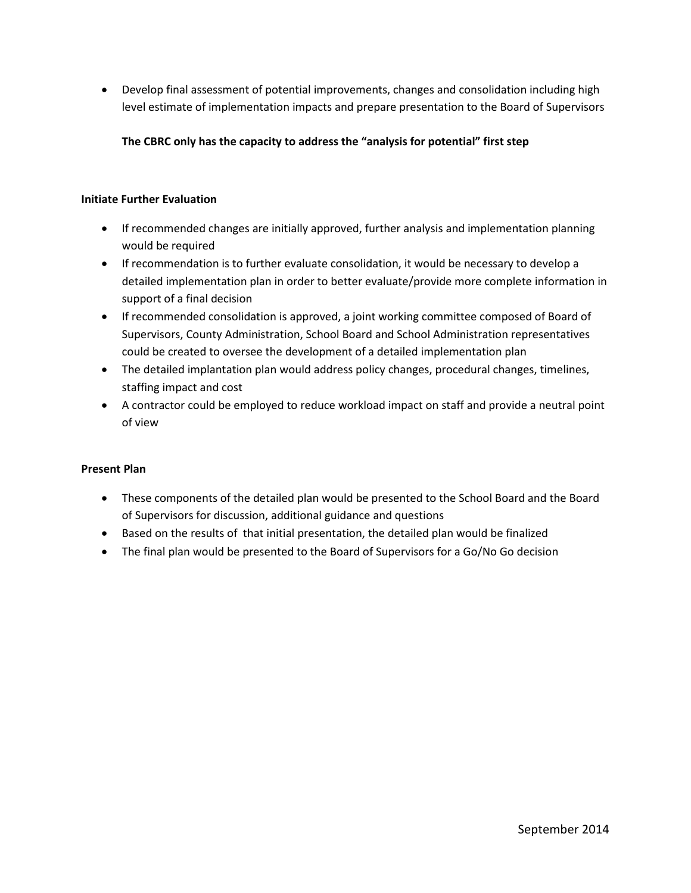• Develop final assessment of potential improvements, changes and consolidation including high level estimate of implementation impacts and prepare presentation to the Board of Supervisors

**The CBRC only has the capacity to address the "analysis for potential" first step**

### **Initiate Further Evaluation**

- If recommended changes are initially approved, further analysis and implementation planning would be required
- If recommendation is to further evaluate consolidation, it would be necessary to develop a detailed implementation plan in order to better evaluate/provide more complete information in support of a final decision
- If recommended consolidation is approved, a joint working committee composed of Board of Supervisors, County Administration, School Board and School Administration representatives could be created to oversee the development of a detailed implementation plan
- The detailed implantation plan would address policy changes, procedural changes, timelines, staffing impact and cost
- A contractor could be employed to reduce workload impact on staff and provide a neutral point of view

### **Present Plan**

- These components of the detailed plan would be presented to the School Board and the Board of Supervisors for discussion, additional guidance and questions
- Based on the results of that initial presentation, the detailed plan would be finalized
- The final plan would be presented to the Board of Supervisors for a Go/No Go decision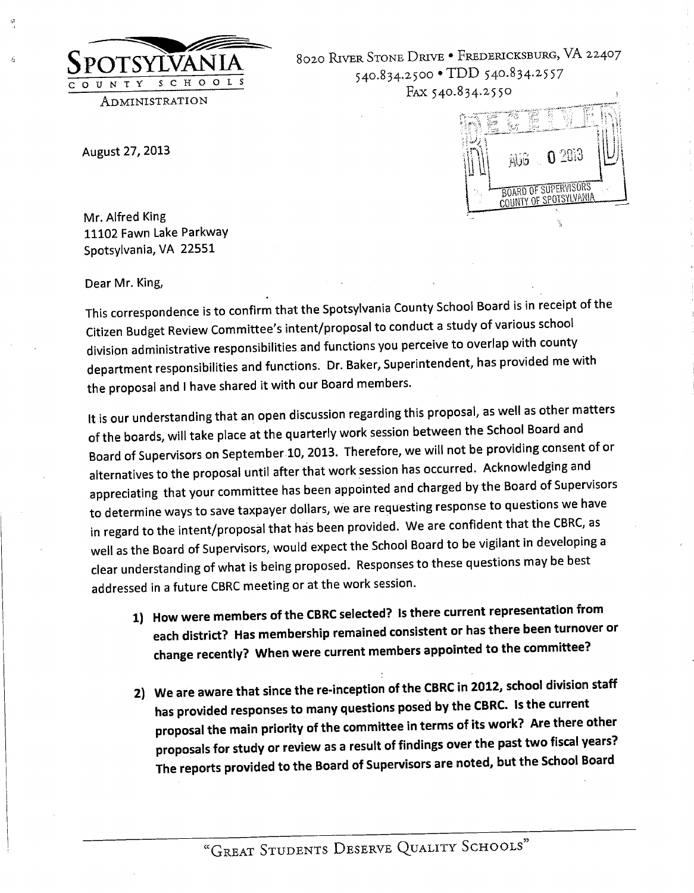

8020 RIVER STONE DRIVE . FREDERICKSBURG, VA 22407 540.834.2500 · TDD 540.834.2557 FAX 540.834.2550

August 27, 2013



Mr. Alfred King 11102 Fawn Lake Parkway Spotsylvania, VA 22551

Dear Mr. King,

This correspondence is to confirm that the Spotsylvania County School Board is in receipt of the Citizen Budget Review Committee's intent/proposal to conduct a study of various school division administrative responsibilities and functions you perceive to overlap with county department responsibilities and functions. Dr. Baker, Superintendent, has provided me with the proposal and I have shared it with our Board members.

It is our understanding that an open discussion regarding this proposal, as well as other matters of the boards, will take place at the quarterly work session between the School Board and Board of Supervisors on September 10, 2013. Therefore, we will not be providing consent of or alternatives to the proposal until after that work session has occurred. Acknowledging and appreciating that your committee has been appointed and charged by the Board of Supervisors to determine ways to save taxpayer dollars, we are requesting response to questions we have in regard to the intent/proposal that has been provided. We are confident that the CBRC, as well as the Board of Supervisors, would expect the School Board to be vigilant in developing a clear understanding of what is being proposed. Responses to these questions may be best addressed in a future CBRC meeting or at the work session.

- 1) How were members of the CBRC selected? Is there current representation from each district? Has membership remained consistent or has there been turnover or change recently? When were current members appointed to the committee?
- 2) We are aware that since the re-inception of the CBRC in 2012, school division staff has provided responses to many questions posed by the CBRC. Is the current proposal the main priority of the committee in terms of its work? Are there other proposals for study or review as a result of findings over the past two fiscal years? The reports provided to the Board of Supervisors are noted, but the School Board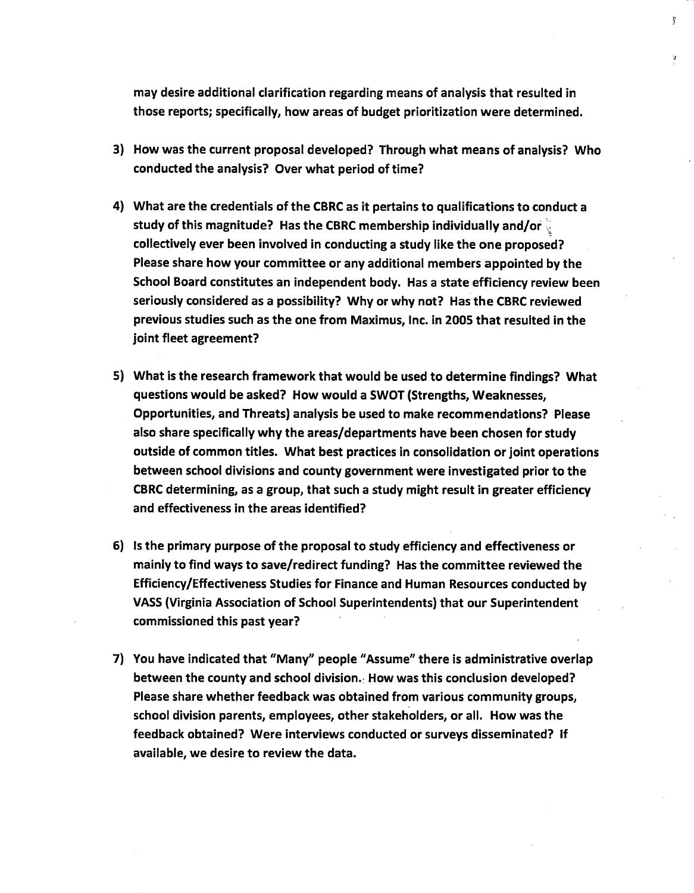may desire additional clarification regarding means of analysis that resulted in those reports; specifically, how areas of budget prioritization were determined.  $\ddot{\mathbf{j}}$ 

- 3) How was the current proposal developed? Through what means of analysis? Who conducted the analysis? Over what period of time?
- 4) What are the credentials of the CBRC as it pertains to qualifications to conduct a study of this magnitude? Has the CBRC membership individually and/or  $\frac{1}{2}$ collectively ever been involved in conducting a study like the one proposed? Please share how your committee or any additional members appointed by the School Board constitutes an independent body. Has a state efficiency review been seriously considered as a possibility? Why or why not? Has the CBRC reviewed previous studies such as the one from Maximus, Inc. in 2005 that resulted in the joint fleet agreement?
- 5) What is the research framework that would be used to determine findings? What questions would be asked? How would a SWOT (Strengths, Weaknesses, Opportunities, and Threats) analysis be used to make recommendations? Please also share specifically why the areas/departments have been chosen for study outside of common titles. What best practices in consolidation or joint operations between school divisions and county government were investigated prior to the CBRC determining, as a group, that such a study might result in greater efficiency and effectiveness in the areas identified?
- 6) Is the primary purpose of the proposal to study efficiency and effectiveness or mainly to find ways to save/redirect funding? Has the committee reviewed the Efficiency/Effectiveness Studies for Finance and Human Resources conducted by VASS (Virginia Association of School Superintendents) that our Superintendent commissioned this past year?
- 7) You have indicated that "Many" people "Assume" there is administrative overlap between the county and school division. How was this conclusion developed? Please share whether feedback was obtained from various community groups, school division parents, employees, other stakeholders, or all. How was the feedback obtained? Were interviews conducted or surveys disseminated? If available, we desire to review the data.